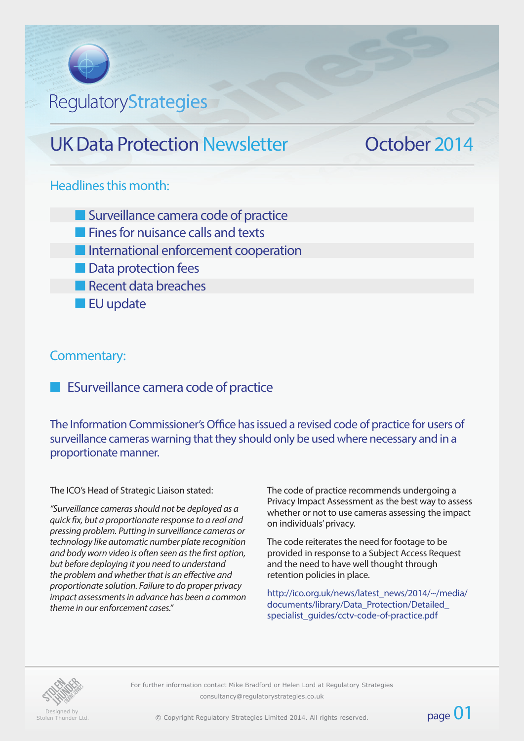# **RegulatoryStrategies**

## UK Data Protection Newsletter **October 2014**

#### Headlines this month:

**n** Surveillance camera code of practice

- $\blacksquare$  Fines for nuisance calls and texts
- **n** International enforcement cooperation
- **n** Data protection fees
- $\blacksquare$  Recent data breaches
- **n** EU update

#### Commentary:

**n** ESurveillance camera code of practice

The Information Commissioner's Office has issued a revised code of practice for users of surveillance cameras warning that they should only be used where necessary and in a proportionate manner.

#### The ICO's Head of Strategic Liaison stated:

*"Surveillance cameras should not be deployed as a quick fix, but a proportionate response to a real and pressing problem. Putting in surveillance cameras or technology like automatic number plate recognition and body worn video is often seen as the first option, but before deploying it you need to understand the problem and whether that is an effective and proportionate solution. Failure to do proper privacy impact assessments in advance has been a common theme in our enforcement cases."*

The code of practice recommends undergoing a Privacy Impact Assessment as the best way to assess whether or not to use cameras assessing the impact on individuals' privacy.

The code reiterates the need for footage to be provided in response to a Subject Access Request and the need to have well thought through retention policies in place.

http://ico.org.uk/news/latest\_news/2014/~/media/ documents/library/Data\_Protection/Detailed\_ specialist\_quides/cctv-code-of-practice.pdf

page 01



*Composigned by Stolen Thunder Ltd.* 

For further information contact Mike Bradford or Helen Lord at Regulatory Strategies  $consultancy@regularorystrategies.co.uk$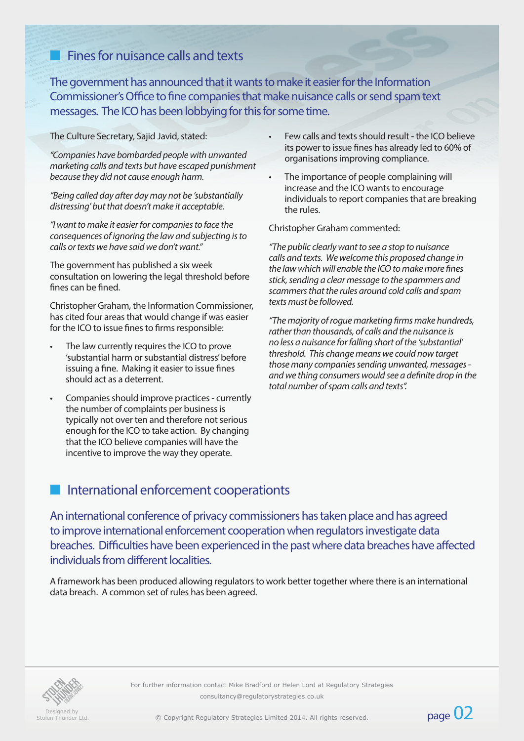## $n<sub>n</sub>$  Fines for nuisance calls and texts

The government has announced that it wants to make it easier for the Information Commissioner's Office to fine companies that make nuisance calls or send spam text messages. The ICO has been lobbying for this for some time.

The Culture Secretary, Sajid Javid, stated:

*"Companies have bombarded people with unwanted marketing calls and texts but have escaped punishment because they did not cause enough harm.*

*"Being called day after day may not be 'substantially distressing' but that doesn't make it acceptable.*

*"I want to make it easier for companies to face the consequences of ignoring the law and subjecting is to calls or texts we have said we don't want."*

The government has published a six week consultation on lowering the legal threshold before fines can be fined.

Christopher Graham, the Information Commissioner, has cited four areas that would change if was easier for the ICO to issue fines to firms responsible:

- The law currently requires the ICO to prove 'substantial harm or substantial distress' before issuing a fine. Making it easier to issue fines should act as a deterrent.
- Companies should improve practices currently the number of complaints per business is typically not over ten and therefore not serious enough for the ICO to take action. By changing that the ICO believe companies will have the incentive to improve the way they operate.
- Few calls and texts should result the ICO believe its power to issue fines has already led to 60% of organisations improving compliance.
- The importance of people complaining will increase and the ICO wants to encourage individuals to report companies that are breaking the rules.

Christopher Graham commented:

*"The public clearly want to see a stop to nuisance calls and texts. We welcome this proposed change in the law which will enable the ICO to make more fines stick, sending a clear message to the spammers and scammers that the rules around cold calls and spam texts must be followed.*

*"The majority of rogue marketing firms make hundreds, rather than thousands, of calls and the nuisance is no less a nuisance for falling short of the 'substantial' threshold. This change means we could now target those many companies sending unwanted, messages and we thing consumers would see a definite drop in the total number of spam calls and texts".*

#### International enforcement cooperationts

An international conference of privacy commissioners has taken place and has agreed to improve international enforcement cooperation when regulators investigate data breaches. Difficulties have been experienced in the past where data breaches have affected individuals from different localities.

A framework has been produced allowing regulators to work better together where there is an international data breach. A common set of rules has been agreed.



For further information contact Mike Bradford or Helen Lord at Regulatory Strategies consultancy@regulatorystrategies.co.uk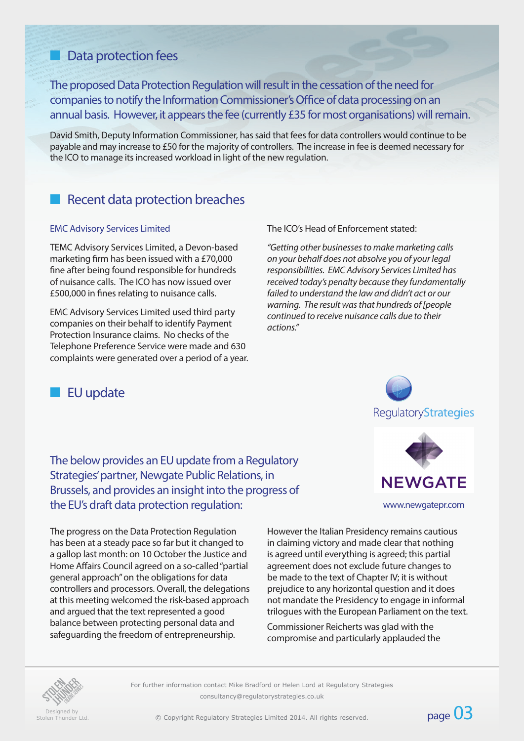### **n** Data protection fees

The proposed Data Protection Regulation will result in the cessation of the need for companies to notify the Information Commissioner's Office of data processing on an annual basis. However, it appears the fee (currently £35 for most organisations) will remain.

David Smith, Deputy Information Commissioner, has said that fees for data controllers would continue to be payable and may increase to £50 for the majority of controllers. The increase in fee is deemed necessary for the ICO to manage its increased workload in light of the new regulation.

### Recent data protection breaches

#### EMC Advisory Services Limited

TEMC Advisory Services Limited, a Devon-based marketing firm has been issued with a £70,000 fine after being found responsible for hundreds of nuisance calls. The ICO has now issued over £500,000 in fines relating to nuisance calls.

EMC Advisory Services Limited used third party companies on their behalf to identify Payment Protection Insurance claims. No checks of the Telephone Preference Service were made and 630 complaints were generated over a period of a year. The ICO's Head of Enforcement stated:

*"Getting other businesses to make marketing calls on your behalf does not absolve you of your legal responsibilities. EMC Advisory Services Limited has received today's penalty because they fundamentally failed to understand the law and didn't act or our warning. The result was that hundreds of [people continued to receive nuisance calls due to their actions."*

### **n** EU update

The below provides an EU update from a Regulatory Strategies' partner, Newgate Public Relations, in Brussels, and provides an insight into the progress of the EU's draft data protection regulation: www.newgatepr.com

The progress on the Data Protection Regulation has been at a steady pace so far but it changed to a gallop last month: on 10 October the Justice and Home Affairs Council agreed on a so-called "partial general approach" on the obligations for data controllers and processors. Overall, the delegations at this meeting welcomed the risk-based approach and argued that the text represented a good balance between protecting personal data and safeguarding the freedom of entrepreneurship.

However the Italian Presidency remains cautious in claiming victory and made clear that nothing is agreed until everything is agreed; this partial agreement does not exclude future changes to be made to the text of Chapter IV; it is without prejudice to any horizontal question and it does not mandate the Presidency to engage in informal trilogues with the European Parliament on the text.

Commissioner Reicherts was glad with the compromise and particularly applauded the



Designed by<br>Stolen Thunder Ltd

For further information contact Mike Bradford or Helen Lord at Regulatory Strategies consultancy@regulatorystrategies.co.uk